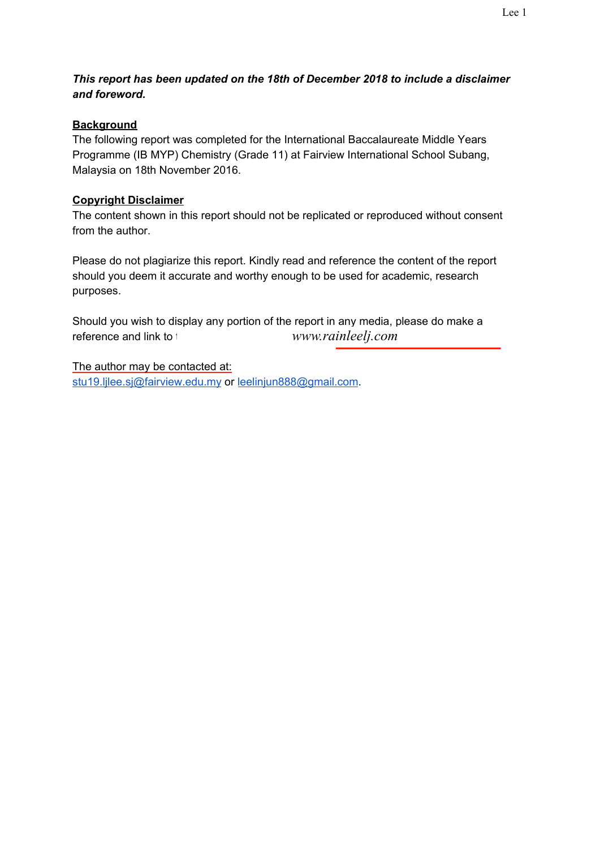# *This report has been updated on the 18th of December 2018 to include a disclaimer and foreword.*

# **Background**

The following report was completed for the International Baccalaureate Middle Years Programme (IB MYP) Chemistry (Grade 11) at Fairview International School Subang, Malaysia on 18th November 2016.

## **Copyright Disclaimer**

The content shown in this report should not be replicated or reproduced without consent from the author.

Please do not plagiarize this report. Kindly read and reference the content of the report should you deem it accurate and worthy enough to be used for academic, research purposes.

Should you wish to display any portion of the report in any media, please do make a reference and link to the author's *www.rainleelj.com* 

The author may be contacted at: stu19.lilee.sj@fairview.edu.my or [leelinjun888@gmail.com](mailto:leelinjun888@gmail.com).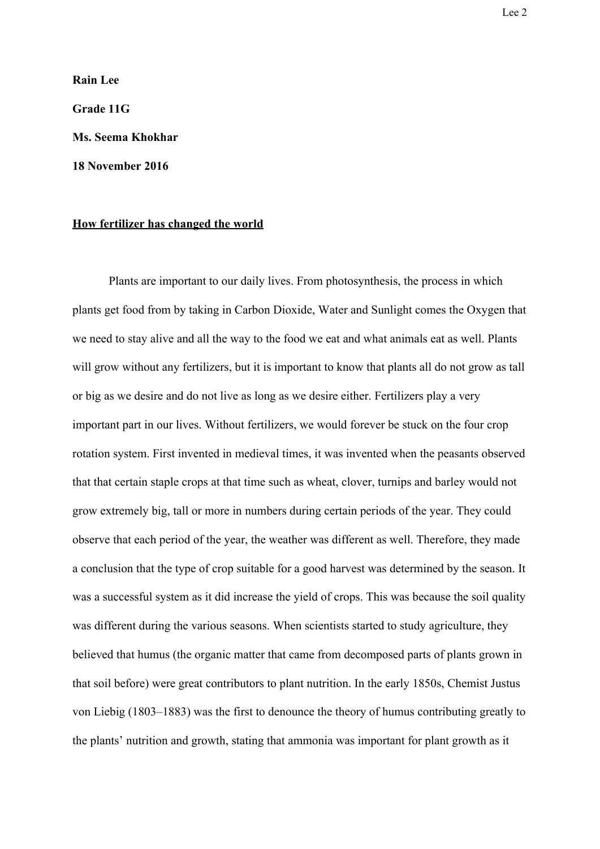**Rain Lee Grade 11G Ms. Seema Khokhar 18 November 2016**

#### **How fertilizer has changed the world**

Plants are important to our daily lives. From photosynthesis, the process in which plants get food from by taking in Carbon Dioxide, Water and Sunlight comes the Oxygen that we need to stay alive and all the way to the food we eat and what animals eat as well. Plants will grow without any fertilizers, but it is important to know that plants all do not grow as tall or big as we desire and do not live as long as we desire either. Fertilizers play a very important part in our lives. Without fertilizers, we would forever be stuck on the four crop rotation system. First invented in medieval times, it was invented when the peasants observed that that certain staple crops at that time such as wheat, clover, turnips and barley would not grow extremely big, tall or more in numbers during certain periods of the year. They could observe that each period of the year, the weather was different as well. Therefore, they made a conclusion that the type of crop suitable for a good harvest was determined by the season. It was a successful system as it did increase the yield of crops. This was because the soil quality was different during the various seasons. When scientists started to study agriculture, they believed that humus (the organic matter that came from decomposed parts of plants grown in that soil before) were great contributors to plant nutrition. In the early 1850s, Chemist Justus von Liebig (1803–1883) was the first to denounce the theory of humus contributing greatly to the plants' nutrition and growth, stating that ammonia was important for plant growth as it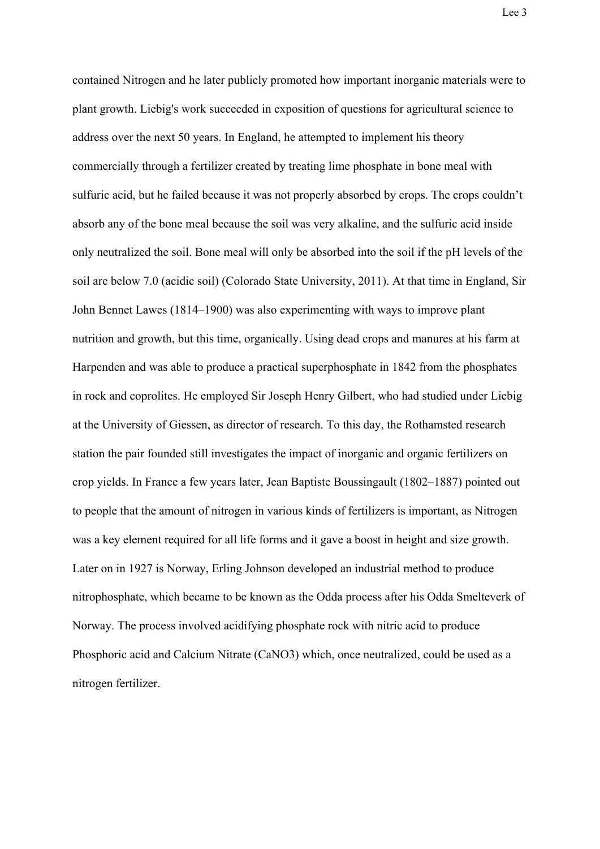contained Nitrogen and he later publicly promoted how important inorganic materials were to plant growth. Liebig's work succeeded in exposition of questions for agricultural science to address over the next 50 years. In England, he attempted to implement his theory commercially through a fertilizer created by treating lime phosphate in bone meal with sulfuric acid, but he failed because it was not properly absorbed by crops. The crops couldn't absorb any of the bone meal because the soil was very alkaline, and the sulfuric acid inside only neutralized the soil. Bone meal will only be absorbed into the soil if the pH levels of the soil are below 7.0 (acidic soil) (Colorado State University, 2011). At that time in England, Sir John Bennet Lawes (1814–1900) was also experimenting with ways to improve plant nutrition and growth, but this time, organically. Using dead crops and manures at his farm at Harpenden and was able to produce a practical superphosphate in 1842 from the phosphates in rock and coprolites. He employed Sir Joseph Henry Gilbert, who had studied under Liebig at the University of Giessen, as director of research. To this day, the Rothamsted research station the pair founded still investigates the impact of inorganic and organic fertilizers on crop yields. In France a few years later, Jean Baptiste Boussingault (1802–1887) pointed out to people that the amount of nitrogen in various kinds of fertilizers is important, as Nitrogen was a key element required for all life forms and it gave a boost in height and size growth. Later on in 1927 is Norway, Erling Johnson developed an industrial method to produce nitrophosphate, which became to be known as the Odda process after his Odda Smelteverk of Norway. The process involved acidifying phosphate rock with nitric acid to produce Phosphoric acid and Calcium Nitrate (CaNO3) which, once neutralized, could be used as a nitrogen fertilizer.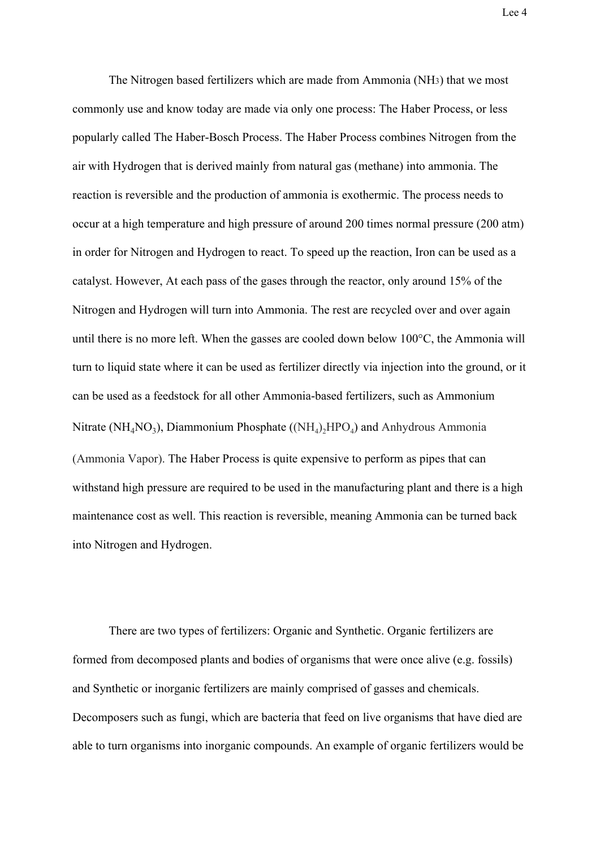Lee 4

The Nitrogen based fertilizers which are made from Ammonia (NH3) that we most commonly use and know today are made via only one process: The Haber Process, or less popularly called The Haber-Bosch Process. The Haber Process combines Nitrogen from the air with Hydrogen that is derived mainly from natural gas (methane) into ammonia. The reaction is reversible and the production of ammonia is exothermic. The process needs to occur at a high temperature and high pressure of around 200 times normal pressure (200 atm) in order for Nitrogen and Hydrogen to react. To speed up the reaction, Iron can be used as a catalyst. However, At each pass of the gases through the reactor, only around 15% of the Nitrogen and Hydrogen will turn into Ammonia. The rest are recycled over and over again until there is no more left. When the gasses are cooled down below 100°C, the Ammonia will turn to liquid state where it can be used as fertilizer directly via injection into the ground, or it can be used as a feedstock for all other Ammonia-based fertilizers, such as Ammonium Nitrate (NH<sub>4</sub>NO<sub>3</sub>), Diammonium Phosphate ((NH<sub>4</sub>)<sub>2</sub>HPO<sub>4</sub>) and Anhydrous Ammonia (Ammonia Vapor). The Haber Process is quite expensive to perform as pipes that can withstand high pressure are required to be used in the manufacturing plant and there is a high maintenance cost as well. This reaction is reversible, meaning Ammonia can be turned back into Nitrogen and Hydrogen.

There are two types of fertilizers: Organic and Synthetic. Organic fertilizers are formed from decomposed plants and bodies of organisms that were once alive (e.g. fossils) and Synthetic or inorganic fertilizers are mainly comprised of gasses and chemicals. Decomposers such as fungi, which are bacteria that feed on live organisms that have died are able to turn organisms into inorganic compounds. An example of organic fertilizers would be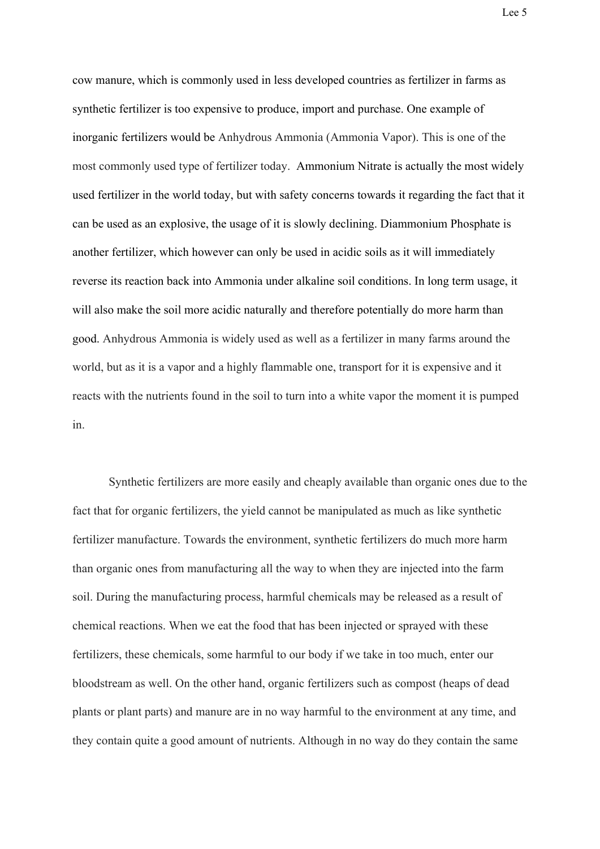cow manure, which is commonly used in less developed countries as fertilizer in farms as synthetic fertilizer is too expensive to produce, import and purchase. One example of inorganic fertilizers would be Anhydrous Ammonia (Ammonia Vapor). This is one of the most commonly used type of fertilizer today. Ammonium Nitrate is actually the most widely used fertilizer in the world today, but with safety concerns towards it regarding the fact that it can be used as an explosive, the usage of it is slowly declining. Diammonium Phosphate is another fertilizer, which however can only be used in acidic soils as it will immediately reverse its reaction back into Ammonia under alkaline soil conditions. In long term usage, it will also make the soil more acidic naturally and therefore potentially do more harm than good. Anhydrous Ammonia is widely used as well as a fertilizer in many farms around the world, but as it is a vapor and a highly flammable one, transport for it is expensive and it reacts with the nutrients found in the soil to turn into a white vapor the moment it is pumped in.

Synthetic fertilizers are more easily and cheaply available than organic ones due to the fact that for organic fertilizers, the yield cannot be manipulated as much as like synthetic fertilizer manufacture. Towards the environment, synthetic fertilizers do much more harm than organic ones from manufacturing all the way to when they are injected into the farm soil. During the manufacturing process, harmful chemicals may be released as a result of chemical reactions. When we eat the food that has been injected or sprayed with these fertilizers, these chemicals, some harmful to our body if we take in too much, enter our bloodstream as well. On the other hand, organic fertilizers such as compost (heaps of dead plants or plant parts) and manure are in no way harmful to the environment at any time, and they contain quite a good amount of nutrients. Although in no way do they contain the same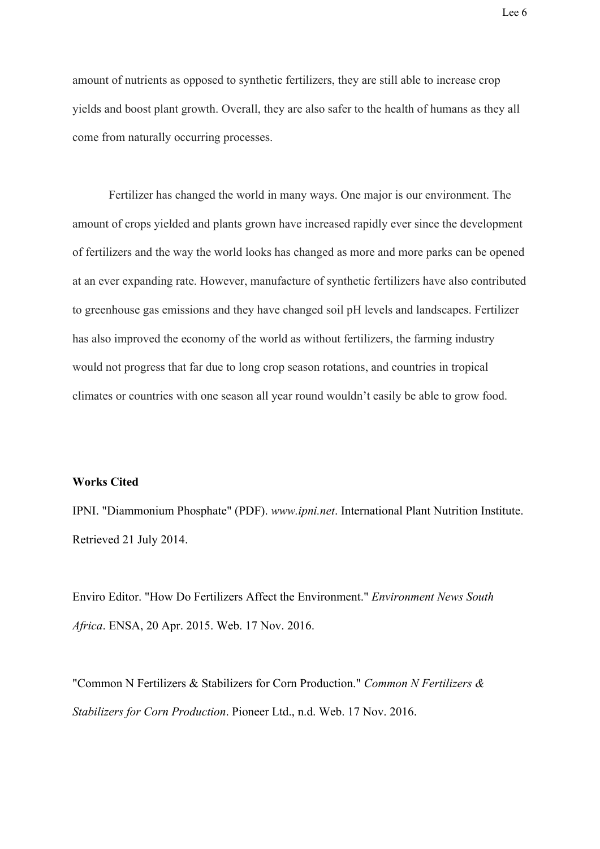amount of nutrients as opposed to synthetic fertilizers, they are still able to increase crop yields and boost plant growth. Overall, they are also safer to the health of humans as they all come from naturally occurring processes.

Fertilizer has changed the world in many ways. One major is our environment. The amount of crops yielded and plants grown have increased rapidly ever since the development of fertilizers and the way the world looks has changed as more and more parks can be opened at an ever expanding rate. However, manufacture of synthetic fertilizers have also contributed to greenhouse gas emissions and they have changed soil pH levels and landscapes. Fertilizer has also improved the economy of the world as without fertilizers, the farming industry would not progress that far due to long crop season rotations, and countries in tropical climates or countries with one season all year round wouldn't easily be able to grow food.

### **Works Cited**

IPNI. ["Diammonium Phosphate"](http://www.ipni.net/publication/nss.nsf/0/66D92CC07C016FA7852579AF00766CBD/$FILE/NSS-17%20Diammonium%20Phosphate.pdf) (PDF). *www.ipni.net*. International Plant Nutrition Institute. Retrieved 21 July 2014.

Enviro Editor. "How Do Fertilizers Affect the Environment." *Environment News South Africa*. ENSA, 20 Apr. 2015. Web. 17 Nov. 2016.

"Common N Fertilizers & Stabilizers for Corn Production." *Common N Fertilizers & Stabilizers for Corn Production*. Pioneer Ltd., n.d. Web. 17 Nov. 2016.